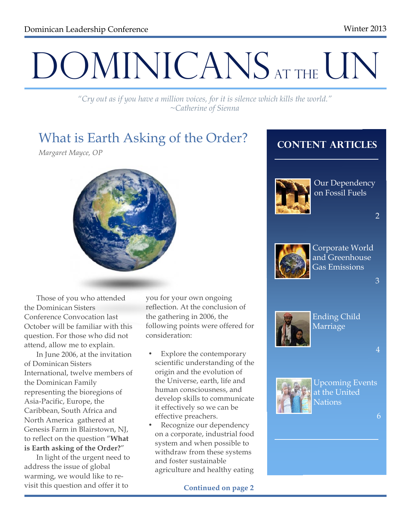# DOMINICANS AT THE UN

*"Cry out as if you have a million voices, for it is silence which kills the world." ~Catherine of Sienna*

# What is Earth Asking of the Order?

*Margaret Mayce, OP*



Those of you who attended the Dominican Sisters Conference Convocation last October will be familiar with this question. For those who did not attend, allow me to explain.

In June 2006, at the invitation of Dominican Sisters International, twelve members of the Dominican Family representing the bioregions of Asia-Pacific, Europe, the Caribbean, South Africa and North America gathered at Genesis Farm in Blairstown, NJ, to reflect on the question "**What is Earth asking of the Order?**"

In light of the urgent need to address the issue of global warming, we would like to revisit this question and offer it to

you for your own ongoing reflection. At the conclusion of the gathering in 2006, the following points were offered for consideration:

- Explore the contemporary scientific understanding of the origin and the evolution of the Universe, earth, life and human consciousness, and develop skills to communicate it effectively so we can be effective preachers.
- Recognize our dependency on a corporate, industrial food system and when possible to withdraw from these systems and foster sustainable agriculture and healthy eating

**Continued on page 2**

## **Content Articles**



Our Dependency on Fossil Fuels

2



Corporate World and Greenhouse Gas Emissions

3



Ending Child Marriage

4



Upcoming Events at the United Nations

6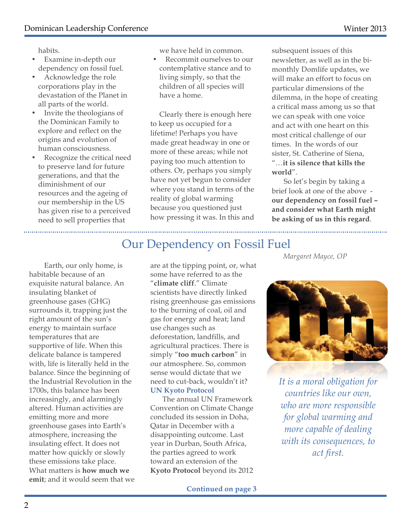habits.

- Examine in-depth our dependency on fossil fuel.
- Acknowledge the role corporations play in the devastation of the Planet in all parts of the world.
- Invite the theologians of the Dominican Family to explore and reflect on the origins and evolution of human consciousness.
- Recognize the critical need to preserve land for future generations, and that the diminishment of our resources and the ageing of our membership in the US has given rise to a perceived need to sell properties that

we have held in common.

• Recommit ourselves to our contemplative stance and to living simply, so that the children of all species will have a home.

Clearly there is enough here to keep us occupied for a lifetime! Perhaps you have made great headway in one or more of these areas; while not paying too much attention to others. Or, perhaps you simply have not yet begun to consider where you stand in terms of the reality of global warming because you questioned just how pressing it was. In this and

subsequent issues of this newsletter, as well as in the bimonthly Domlife updates, we will make an effort to focus on particular dimensions of the dilemma, in the hope of creating a critical mass among us so that we can speak with one voice and act with one heart on this most critical challenge of our times. In the words of our sister, St. Catherine of Siena, "…**it is silence that kills the world**".

So let's begin by taking a brief look at one of the above **our dependency on fossil fuel – and consider what Earth might be asking of us in this regard**.

## Our Dependency on Fossil Fuel

Earth, our only home, is habitable because of an exquisite natural balance. An insulating blanket of greenhouse gases (GHG) surrounds it, trapping just the right amount of the sun's energy to maintain surface temperatures that are supportive of life. When this delicate balance is tampered with, life is literally held in the balance. Since the beginning of the Industrial Revolution in the 1700s, this balance has been increasingly, and alarmingly altered. Human activities are emitting more and more greenhouse gases into Earth's atmosphere, increasing the insulating effect. It does not matter how quickly or slowly these emissions take place. What matters is **how much we emit**; and it would seem that we

are at the tipping point, or, what some have referred to as the "**climate cliff**." Climate scientists have directly linked rising greenhouse gas emissions to the burning of coal, oil and gas for energy and heat; land use changes such as deforestation, landfills, and agricultural practices. There is simply "**too much carbon**" in our atmosphere. So, common sense would dictate that we need to cut-back, wouldn't it? **UN Kyoto Protocol**

The annual UN Framework Convention on Climate Change concluded its session in Doha, Qatar in December with a disappointing outcome. Last year in Durban, South Africa, the parties agreed to work toward an extension of the **Kyoto Protocol** beyond its 2012 *Margaret Mayce, OP*



*It is a moral obligation for countries like our own, who are more responsible for global warming and more capable of dealing with its consequences, to act first.*

**Continued on page 3**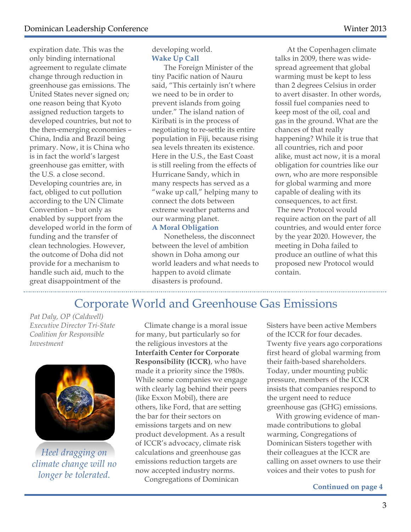expiration date. This was the only binding international agreement to regulate climate change through reduction in greenhouse gas emissions. The United States never signed on; one reason being that Kyoto assigned reduction targets to developed countries, but not to the then-emerging economies – China, India and Brazil being primary. Now, it is China who is in fact the world's largest greenhouse gas emitter, with the U.S. a close second. Developing countries are, in fact, obliged to cut pollution according to the UN Climate Convention – but only as enabled by support from the developed world in the form of funding and the transfer of clean technologies. However, the outcome of Doha did not provide for a mechanism to handle such aid, much to the great disappointment of the

developing world. **Wake Up Call**

The Foreign Minister of the tiny Pacific nation of Nauru said, "This certainly isn't where we need to be in order to prevent islands from going under." The island nation of Kiribati is in the process of negotiating to re-settle its entire population in Fiji, because rising sea levels threaten its existence. Here in the U.S., the East Coast is still reeling from the effects of Hurricane Sandy, which in many respects has served as a "wake up call," helping many to connect the dots between extreme weather patterns and our warming planet.

#### **A Moral Obligation**

Nonetheless, the disconnect between the level of ambition shown in Doha among our world leaders and what needs to happen to avoid climate disasters is profound.

At the Copenhagen climate talks in 2009, there was widespread agreement that global warming must be kept to less than 2 degrees Celsius in order to avert disaster. In other words, fossil fuel companies need to keep most of the oil, coal and gas in the ground. What are the chances of that really happening? While it is true that all countries, rich and poor alike, must act now, it is a moral obligation for countries like our own, who are more responsible for global warming and more capable of dealing with its consequences, to act first. The new Protocol would require action on the part of all countries, and would enter force by the year 2020. However, the meeting in Doha failed to produce an outline of what this proposed new Protocol would contain.

## Corporate World and Greenhouse Gas Emissions

*Pat Daly, OP (Caldwell) Executive Director Tri-State Coalition for Responsible Investment*



*Heel dragging on climate change will no longer be tolerated.*

Climate change is a moral issue for many, but particularly so for the religious investors at the **Interfaith Center for Corporate Responsibility (ICCR)**, who have made it a priority since the 1980s. While some companies we engage with clearly lag behind their peers (like Exxon Mobil), there are others, like Ford, that are setting the bar for their sectors on emissions targets and on new product development. As a result of ICCR's advocacy, climate risk calculations and greenhouse gas emissions reduction targets are now accepted industry norms.

Congregations of Dominican

Sisters have been active Members of the ICCR for four decades. Twenty five years ago corporations first heard of global warming from their faith-based shareholders. Today, under mounting public pressure, members of the ICCR insists that companies respond to the urgent need to reduce greenhouse gas (GHG) emissions.

With growing evidence of manmade contributions to global warming, Congregations of Dominican Sisters together with their colleagues at the ICCR are calling on asset owners to use their voices and their votes to push for

3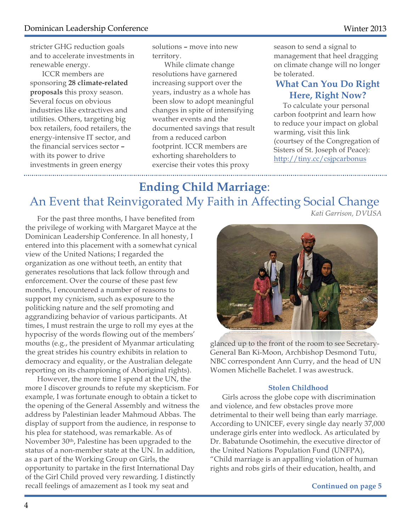stricter GHG reduction goals and to accelerate investments in renewable energy.

ICCR members are sponsoring **28 climate-related proposals** this proxy season. Several focus on obvious industries like extractives and utilities. Others, targeting big box retailers, food retailers, the energy-intensive IT sector, and the financial services sector **–** with its power to drive investments in green energy 

solutions **–** move into new territory.

While climate change resolutions have garnered increasing support over the years, industry as a whole has been slow to adopt meaningful changes in spite of intensifying weather events and the documented savings that result from a reduced carbon footprint. ICCR members are exhorting shareholders to exercise their votes this proxy

season to send a signal to management that heel dragging on climate change will no longer be tolerated.

#### **What Can You Do Right Here, Right Now?**

To calculate your personal carbon footprint and learn how to reduce your impact on global warming, visit this link (courtsey of the Congregation of Sisters of St. Joseph of Peace): http://tiny.cc/csjpcarbonus

# **Ending Child Marriage**: An Event that Reinvigorated My Faith in Affecting Social Change

For the past three months, I have benefited from the privilege of working with Margaret Mayce at the Dominican Leadership Conference. In all honesty, I entered into this placement with a somewhat cynical view of the United Nations; I regarded the organization as one without teeth, an entity that generates resolutions that lack follow through and enforcement. Over the course of these past few months, I encountered a number of reasons to support my cynicism, such as exposure to the politicking nature and the self promoting and aggrandizing behavior of various participants. At times, I must restrain the urge to roll my eyes at the hypocrisy of the words flowing out of the members' mouths (e.g., the president of Myanmar articulating the great strides his country exhibits in relation to democracy and equality, or the Australian delegate reporting on its championing of Aboriginal rights).

However, the more time I spend at the UN, the more I discover grounds to refute my skepticism. For example, I was fortunate enough to obtain a ticket to the opening of the General Assembly and witness the address by Palestinian leader Mahmoud Abbas. The display of support from the audience, in response to his plea for statehood, was remarkable. As of November 30th, Palestine has been upgraded to the status of a non-member state at the UN. In addition, as a part of the Working Group on Girls, the opportunity to partake in the first International Day of the Girl Child proved very rewarding. I distinctly recall feelings of amazement as I took my seat and

*Kati Garrison, DVUSA*



glanced up to the front of the room to see Secretary-General Ban Ki-Moon, Archbishop Desmond Tutu, NBC correspondent Ann Curry, and the head of UN Women Michelle Bachelet. I was awestruck.

#### **Stolen Childhood**

Girls across the globe cope with discrimination and violence, and few obstacles prove more detrimental to their well being than early marriage. According to UNICEF, every single day nearly 37,000 underage girls enter into wedlock. As articulated by Dr. Babatunde Osotimehin, the executive director of the United Nations Population Fund (UNFPA), "Child marriage is an appalling violation of human rights and robs girls of their education, health, and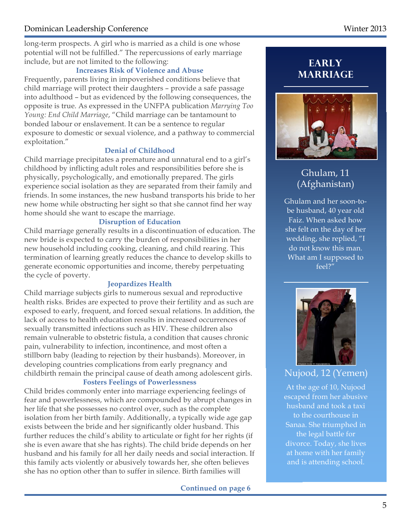long-term prospects. A girl who is married as a child is one whose potential will not be fulfilled." The repercussions of early marriage include, but are not limited to the following:

#### **Increases Risk of Violence and Abuse**

Frequently, parents living in impoverished conditions believe that child marriage will protect their daughters – provide a safe passage into adulthood – but as evidenced by the following consequences, the opposite is true. As expressed in the UNFPA publication *Marrying Too Young: End Child Marriage*, "Child marriage can be tantamount to bonded labour or enslavement. It can be a sentence to regular exposure to domestic or sexual violence, and a pathway to commercial exploitation."

#### **Denial of Childhood**

Child marriage precipitates a premature and unnatural end to a girl's childhood by inflicting adult roles and responsibilities before she is physically, psychologically, and emotionally prepared. The girls experience social isolation as they are separated from their family and friends. In some instances, the new husband transports his bride to her new home while obstructing her sight so that she cannot find her way home should she want to escape the marriage.

#### **Disruption of Education**

Child marriage generally results in a discontinuation of education. The new bride is expected to carry the burden of responsibilities in her new household including cooking, cleaning, and child rearing. This termination of learning greatly reduces the chance to develop skills to generate economic opportunities and income, thereby perpetuating the cycle of poverty.

#### **Jeopardizes Health**

Child marriage subjects girls to numerous sexual and reproductive health risks. Brides are expected to prove their fertility and as such are exposed to early, frequent, and forced sexual relations. In addition, the lack of access to health education results in increased occurrences of sexually transmitted infections such as HIV. These children also remain vulnerable to obstetric fistula, a condition that causes chronic pain, vulnerability to infection, incontinence, and most often a stillborn baby (leading to rejection by their husbands). Moreover, in developing countries complications from early pregnancy and childbirth remain the principal cause of death among adolescent girls.

#### **Fosters Feelings of Powerlessness**

Child brides commonly enter into marriage experiencing feelings of fear and powerlessness, which are compounded by abrupt changes in her life that she possesses no control over, such as the complete isolation from her birth family. Additionally, a typically wide age gap exists between the bride and her significantly older husband. This further reduces the child's ability to articulate or fight for her rights (if she is even aware that she has rights). The child bride depends on her husband and his family for all her daily needs and social interaction. If this family acts violently or abusively towards her, she often believes she has no option other than to suffer in silence. Birth families will

**Continued on page 6**

## **Early Marriage**



## Ghulam, 11 (Afghanistan)

Ghulam and her soon-tobe husband, 40 year old Faiz. When asked how she felt on the day of her wedding, she replied, "I do not know this man. What am I supposed to feel?"



### Nujood, 12 (Yemen)

At the age of 10, Nujood escaped from her abusive husband and took a taxi to the courthouse in Sanaa. She triumphed in the legal battle for divorce. Today, she lives at home with her family and is attending school.